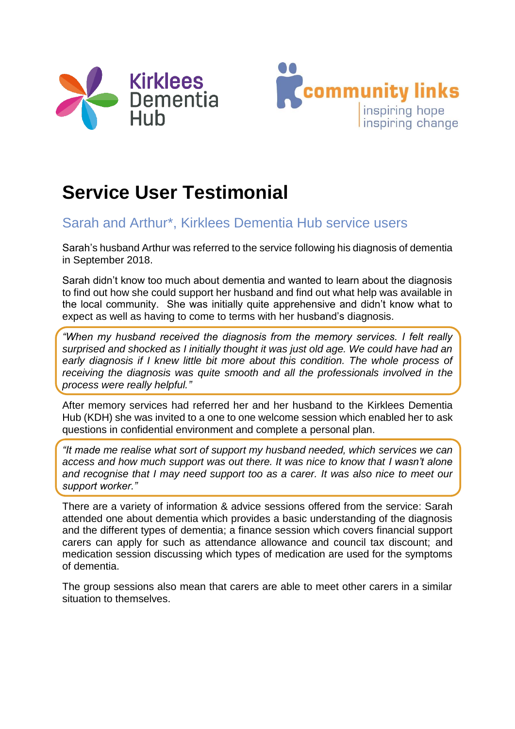



## **Service User Testimonial**

## Sarah and Arthur\*, Kirklees Dementia Hub service users

Sarah's husband Arthur was referred to the service following his diagnosis of dementia in September 2018.

Sarah didn't know too much about dementia and wanted to learn about the diagnosis to find out how she could support her husband and find out what help was available in the local community. She was initially quite apprehensive and didn't know what to expect as well as having to come to terms with her husband's diagnosis.

*"When my husband received the diagnosis from the memory services. I felt really surprised and shocked as I initially thought it was just old age. We could have had an early diagnosis if I knew little bit more about this condition. The whole process of receiving the diagnosis was quite smooth and all the professionals involved in the process were really helpful."*

After memory services had referred her and her husband to the Kirklees Dementia Hub (KDH) she was invited to a one to one welcome session which enabled her to ask questions in confidential environment and complete a personal plan.

*"It made me realise what sort of support my husband needed, which services we can access and how much support was out there. It was nice to know that I wasn't alone and recognise that I may need support too as a carer. It was also nice to meet our support worker."*

There are a variety of information & advice sessions offered from the service: Sarah attended one about dementia which provides a basic understanding of the diagnosis and the different types of dementia; a finance session which covers financial support carers can apply for such as attendance allowance and council tax discount; and medication session discussing which types of medication are used for the symptoms of dementia.

The group sessions also mean that carers are able to meet other carers in a similar situation to themselves.